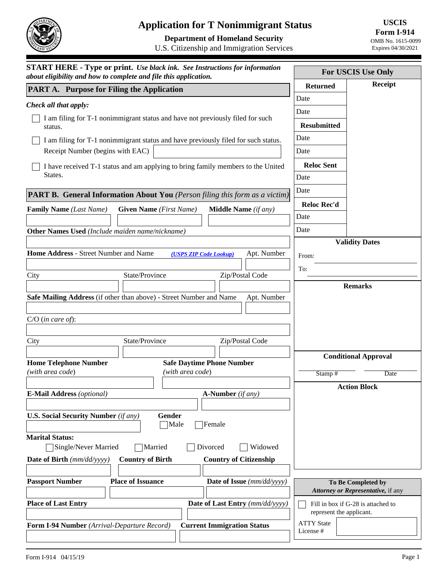

# **Application for T Nonimmigrant Status**

**Department of Homeland Security**  U.S. Citizenship and Immigration Services

| <b>START HERE - Type or print.</b> Use black ink. See Instructions for information<br>about eligibility and how to complete and file this application. | For USCIS Use Only            |                                    |  |
|--------------------------------------------------------------------------------------------------------------------------------------------------------|-------------------------------|------------------------------------|--|
| <b>PART A. Purpose for Filing the Application</b>                                                                                                      | <b>Returned</b>               | Receipt                            |  |
| Check all that apply:                                                                                                                                  | Date                          |                                    |  |
| I am filing for T-1 nonimmigrant status and have not previously filed for such                                                                         | Date                          |                                    |  |
| status.                                                                                                                                                | <b>Resubmitted</b>            |                                    |  |
| I am filing for T-1 nonimmigrant status and have previously filed for such status.                                                                     | Date                          |                                    |  |
| Receipt Number (begins with EAC)                                                                                                                       | Date                          |                                    |  |
| I have received T-1 status and am applying to bring family members to the United                                                                       | <b>Reloc Sent</b>             |                                    |  |
| States.                                                                                                                                                | Date                          |                                    |  |
| <b>PART B. General Information About You</b> (Person filing this form as a victim)                                                                     | Date                          |                                    |  |
| <b>Given Name</b> (First Name)<br><b>Family Name</b> (Last Name)<br>Middle Name (if any)                                                               | <b>Reloc Rec'd</b>            |                                    |  |
|                                                                                                                                                        | Date                          |                                    |  |
| Other Names Used (Include maiden name/nickname)                                                                                                        | Date                          |                                    |  |
|                                                                                                                                                        |                               | <b>Validity Dates</b>              |  |
| Home Address - Street Number and Name<br>Apt. Number<br>(USPS ZIP Code Lookup)                                                                         | From:                         |                                    |  |
| State/Province                                                                                                                                         | To:                           |                                    |  |
| Zip/Postal Code<br>City                                                                                                                                |                               | <b>Remarks</b>                     |  |
| Safe Mailing Address (if other than above) - Street Number and Name<br>Apt. Number                                                                     |                               |                                    |  |
|                                                                                                                                                        |                               |                                    |  |
| $C/O$ (in care of):                                                                                                                                    |                               |                                    |  |
|                                                                                                                                                        |                               |                                    |  |
| State/Province<br>City<br>Zip/Postal Code                                                                                                              |                               |                                    |  |
| <b>Home Telephone Number</b><br><b>Safe Daytime Phone Number</b>                                                                                       |                               | <b>Conditional Approval</b>        |  |
| (with area code)<br>(with area code)                                                                                                                   | Stamp#                        | Date                               |  |
|                                                                                                                                                        |                               | <b>Action Block</b>                |  |
| <b>E-Mail Address (optional)</b><br><b>A-Number</b> (if any)                                                                                           |                               |                                    |  |
| <b>U.S. Social Security Number</b> (if any)<br>Gender                                                                                                  |                               |                                    |  |
| $\Box$ Male<br>Female                                                                                                                                  |                               |                                    |  |
| <b>Marital Status:</b>                                                                                                                                 |                               |                                    |  |
| Widowed<br>Single/Never Married<br>Married<br>Divorced                                                                                                 |                               |                                    |  |
| Date of Birth (mm/dd/yyyy)<br><b>Country of Birth</b><br><b>Country of Citizenship</b>                                                                 |                               |                                    |  |
| <b>Place of Issuance</b><br><b>Passport Number</b><br><b>Date of Issue</b> (mm/dd/yyyy)                                                                |                               | To Be Completed by                 |  |
|                                                                                                                                                        |                               | Attorney or Representative, if any |  |
| <b>Place of Last Entry</b><br>Date of Last Entry (mm/dd/yyyy)                                                                                          |                               | Fill in box if G-28 is attached to |  |
|                                                                                                                                                        | represent the applicant.      |                                    |  |
| <b>Current Immigration Status</b><br>Form I-94 Number (Arrival-Departure Record)                                                                       | <b>ATTY State</b><br>License# |                                    |  |
|                                                                                                                                                        |                               |                                    |  |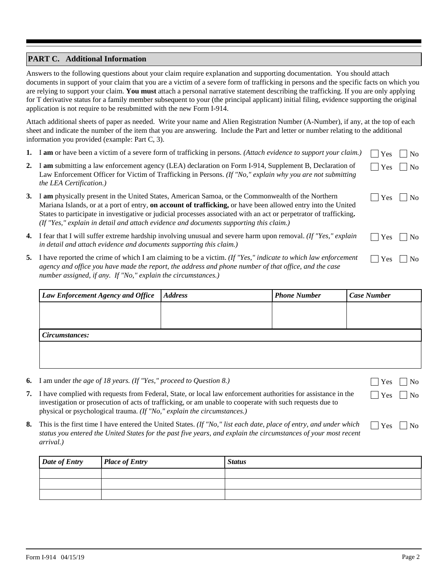## **PART C. Additional Information**

Answers to the following questions about your claim require explanation and supporting documentation. You should attach documents in support of your claim that you are a victim of a severe form of trafficking in persons and the specific facts on which you are relying to support your claim. **You must** attach a personal narrative statement describing the trafficking. If you are only applying for T derivative status for a family member subsequent to your (the principal applicant) initial filing, evidence supporting the original application is not require to be resubmitted with the new Form I-914.

Attach additional sheets of paper as needed. Write your name and Alien Registration Number (A-Number), if any, at the top of each sheet and indicate the number of the item that you are answering. Include the Part and letter or number relating to the additional information you provided (example: Part C, 3).

- $\Box$  Yes  $\Box$  No **1.** I **am** or have been a victim of a severe form of trafficking in persons. *(Attach evidence to support your claim.)*
- **2.** I **am** submitting a law enforcement agency (LEA) declaration on Form I-914, Supplement B, Declaration of Law Enforcement Officer for Victim of Trafficking in Persons. *(If "No," explain why you are not submitting the LEA Certification.)*
- **3.** I am physically present in the United States, American Samoa, or the Commonwealth of the Northern  $Y_{\text{es}} \cap Y_{\text{co}}$ Mariana Islands, or at a port of entry, **on account of trafficking,** or have been allowed entry into the United States to participate in investigative or judicial processes associated with an act or perpetrator of trafficking**.**  *(If "Yes," explain in detail and attach evidence and documents supporting this claim.)*
- **4.** I fear that I will suffer extreme hardship involving unusual and severe harm upon removal. *(If "Yes," explain*  $\Box$  Yes  $\Box$  No *in detail and attach evidence and documents supporting this claim.)*
- **5.** I have reported the crime of which I am claiming to be a victim. *(If "Yes," indicate to which law enforcement*  $\Box$  Yes  $\Box$  No *agency and office you have made the report, the address and phone number of that office, and the case number assigned, if any. If "No," explain the circumstances.)*

| <b>Law Enforcement Agency and Office</b> | <b>Address</b> | <b>Phone Number</b> | <b>Case Number</b> |  |  |
|------------------------------------------|----------------|---------------------|--------------------|--|--|
|                                          |                |                     |                    |  |  |
|                                          |                |                     |                    |  |  |
| Circumstances:                           |                |                     |                    |  |  |
|                                          |                |                     |                    |  |  |
|                                          |                |                     |                    |  |  |

- **6.** I am under *the age of 18 years. (If "Yes," proceed to Question 8.)*
- **7.** I have complied with requests from Federal, State, or local law enforcement authorities for assistance in the investigation or prosecution of acts of trafficking, or am unable to cooperate with such requests due to physical or psychological trauma. *(If "No," explain the circumstances.)*
- $\Box$  Yes  $\Box$  No

 $\Box$  Yes  $\Box$  No

 $\Box$  Yes  $\Box$  No

 $\Box$  Yes  $\Box$  No

**8.** This is the first time I have entered the United States. *(If "No," list each date, place of entry, and under which status you entered the United States for the past five years, and explain the circumstances of your most recent arrival.)*

| Date of Entry | <b>Place of Entry</b> | <b>Status</b> |
|---------------|-----------------------|---------------|
|               |                       |               |
|               |                       |               |
|               |                       |               |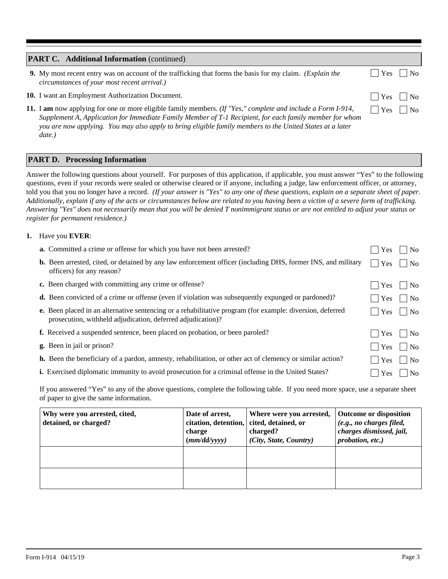| <b>PART C.</b> Additional Information (continued)                                                                                                                                                                                                                                                                                              |                                    |
|------------------------------------------------------------------------------------------------------------------------------------------------------------------------------------------------------------------------------------------------------------------------------------------------------------------------------------------------|------------------------------------|
| 9. My most recent entry was on account of the trafficking that forms the basis for my claim. (Explain the<br>circumstances of your most recent arrival.)                                                                                                                                                                                       | Yes 1<br>$\Box$ No                 |
| 10. I want an Employment Authorization Document.                                                                                                                                                                                                                                                                                               | $ $ $ $ $Y$ es $ $ $ $ $N$ o       |
| 11. I am now applying for one or more eligible family members. (If "Yes," complete and include a Form I-914,<br>Supplement A, Application for Immediate Family Member of T-1 Recipient, for each family member for whom<br>you are now applying. You may also apply to bring eligible family members to the United States at a later<br>date.) | Yes<br>$\overline{\phantom{1}}$ No |

#### **PART D. Processing Information**

Answer the following questions about yourself. For purposes of this application, if applicable, you must answer "Yes" to the following questions, even if your records were sealed or otherwise cleared or if anyone, including a judge, law enforcement officer, or attorney, told you that you no longer have a record. *(If your answer is "Yes" to any one of these questions, explain on a separate sheet of paper. Additionally, explain if any of the acts or circumstances below are related to you having been a victim of a severe form of trafficking. Answering "Yes" does not necessarily mean that you will be denied T nonimmigrant status or are not entitled to adjust your status or register for permanent residence.)*

#### **1.** Have you **EVER**:

| a. Committed a crime or offense for which you have not been arrested?                                                                                                    | Yes | No                              |
|--------------------------------------------------------------------------------------------------------------------------------------------------------------------------|-----|---------------------------------|
| <b>b.</b> Been arrested, cited, or detained by any law enforcement officer (including DHS, former INS, and military<br>officers) for any reason?                         | Yes | No.                             |
| c. Been charged with committing any crime or offense?                                                                                                                    | Yes | $\overline{N_{0}}$<br>$\sim 10$ |
| <b>d.</b> Been convicted of a crime or offense (even if violation was subsequently expunged or pardoned)?                                                                | Yes | N <sub>0</sub>                  |
| e. Been placed in an alternative sentencing or a rehabilitative program (for example: diversion, deferred<br>prosecution, withheld adjudication, deferred adjudication)? | Yes | N <sub>0</sub>                  |
| <b>f.</b> Received a suspended sentence, been placed on probation, or been paroled?                                                                                      | Yes | $\overline{N_{0}}$<br>$\sim$    |
| g. Been in jail or prison?                                                                                                                                               | Yes | No                              |
| h. Been the beneficiary of a pardon, amnesty, rehabilitation, or other act of clemency or similar action?                                                                | Yes | N <sub>0</sub>                  |
| <b>i.</b> Exercised diplomatic immunity to avoid prosecution for a criminal offense in the United States?                                                                | Yes | No                              |

If you answered "Yes" to any of the above questions, complete the following table. If you need more space, use a separate sheet of paper to give the same information.

| Why were you arrested, cited,<br>detained, or charged? | Date of arrest,<br>citation, detention,<br>charge<br>(mm/dd/vvvv) | Where were you arrested,<br>cited, detained, or<br>charged?<br>(City, State, Country) | <b>Outcome or disposition</b><br>(e.g., no charges filed,<br>charges dismissed, jail,<br><i>probation, etc.)</i> |
|--------------------------------------------------------|-------------------------------------------------------------------|---------------------------------------------------------------------------------------|------------------------------------------------------------------------------------------------------------------|
|                                                        |                                                                   |                                                                                       |                                                                                                                  |
|                                                        |                                                                   |                                                                                       |                                                                                                                  |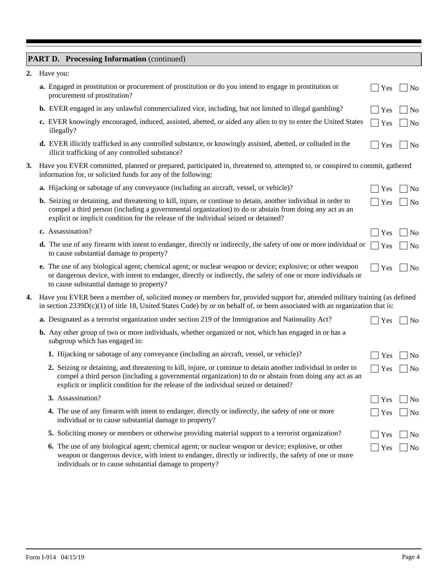|    | <b>PART D. Processing Information (continued)</b>                                                                                                                                                                                                                                                                         |     |                |
|----|---------------------------------------------------------------------------------------------------------------------------------------------------------------------------------------------------------------------------------------------------------------------------------------------------------------------------|-----|----------------|
| 2. | Have you:                                                                                                                                                                                                                                                                                                                 |     |                |
|    | <b>a.</b> Engaged in prostitution or procurement of prostitution or do you intend to engage in prostitution or<br>procurement of prostitution?                                                                                                                                                                            | Yes | No             |
|    | <b>b.</b> EVER engaged in any unlawful commercialized vice, including, but not limited to illegal gambling?                                                                                                                                                                                                               | Yes | No             |
|    | c. EVER knowingly encouraged, induced, assisted, abetted, or aided any alien to try to enter the United States<br>illegally?                                                                                                                                                                                              | Yes | No             |
|    | d. EVER illicitly trafficked in any controlled substance, or knowingly assisted, abetted, or colluded in the<br>illicit trafficking of any controlled substance?                                                                                                                                                          | Yes | N <sub>0</sub> |
| 3. | Have you EVER committed, planned or prepared, participated in, threatened to, attempted to, or conspired to commit, gathered<br>information for, or solicited funds for any of the following:                                                                                                                             |     |                |
|    | a. Hijacking or sabotage of any conveyance (including an aircraft, vessel, or vehicle)?                                                                                                                                                                                                                                   | Yes | No             |
|    | <b>b.</b> Seizing or detaining, and threatening to kill, injure, or continue to detain, another individual in order to<br>compel a third person (including a governmental organization) to do or abstain from doing any act as an<br>explicit or implicit condition for the release of the individual seized or detained? | Yes | No             |
|    | c. Assassination?                                                                                                                                                                                                                                                                                                         | Yes | No             |
|    | d. The use of any firearm with intent to endanger, directly or indirectly, the safety of one or more individual or<br>to cause substantial damage to property?                                                                                                                                                            | Yes | N <sub>0</sub> |
|    | e. The use of any biological agent; chemical agent; or nuclear weapon or device; explosive; or other weapon<br>or dangerous device, with intent to endanger, directly or indirectly, the safety of one or more individuals or<br>to cause substantial damage to property?                                                 | Yes | N <sub>0</sub> |
| 4. | Have you EVER been a member of, solicited money or members for, provided support for, attended military training (as defined<br>in section $2339D(c)(1)$ of title 18, United States Code) by or on behalf of, or been associated with an organization that is:                                                            |     |                |
|    | a. Designated as a terrorist organization under section 219 of the Immigration and Nationality Act?                                                                                                                                                                                                                       | Yes | No             |
|    | <b>b.</b> Any other group of two or more individuals, whether organized or not, which has engaged in or has a<br>subgroup which has engaged in:                                                                                                                                                                           |     |                |
|    | 1. Hijacking or sabotage of any conveyance (including an aircraft, vessel, or vehicle)?                                                                                                                                                                                                                                   | Yes | No             |
|    | 2. Seizing or detaining, and threatening to kill, injure, or continue to detain another individual in order to<br>compel a third person (including a governmental organization) to do or abstain from doing any act as an<br>explicit or implicit condition for the release of the individual seized or detained?         | Yes | No             |
|    | 3. Assassination?                                                                                                                                                                                                                                                                                                         | Yes | N <sub>0</sub> |
|    | 4. The use of any firearm with intent to endanger, directly or indirectly, the safety of one or more<br>individual or to cause substantial damage to property?                                                                                                                                                            | Yes | No             |
|    | 5. Soliciting money or members or otherwise providing material support to a terrorist organization?                                                                                                                                                                                                                       | Yes | N <sub>0</sub> |
|    | 6. The use of any biological agent; chemical agent; or nuclear weapon or device; explosive, or other<br>weapon or dangerous device, with intent to endanger, directly or indirectly, the safety of one or more<br>individuals or to cause substantial damage to property?                                                 | Yes | No             |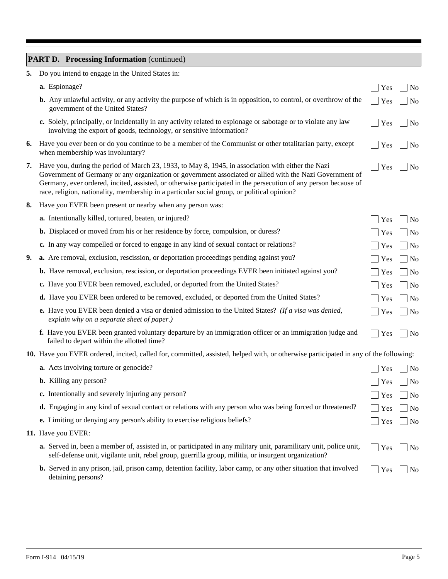|    | <b>PART D. Processing Information</b> (continued)                                                                                                                                                                                                                                                                                                                                                                                |     |                |
|----|----------------------------------------------------------------------------------------------------------------------------------------------------------------------------------------------------------------------------------------------------------------------------------------------------------------------------------------------------------------------------------------------------------------------------------|-----|----------------|
| 5. | Do you intend to engage in the United States in:                                                                                                                                                                                                                                                                                                                                                                                 |     |                |
|    | a. Espionage?                                                                                                                                                                                                                                                                                                                                                                                                                    | Yes | No             |
|    | <b>b.</b> Any unlawful activity, or any activity the purpose of which is in opposition, to control, or overthrow of the<br>government of the United States?                                                                                                                                                                                                                                                                      | Yes | N <sub>o</sub> |
|    | c. Solely, principally, or incidentally in any activity related to espionage or sabotage or to violate any law<br>involving the export of goods, technology, or sensitive information?                                                                                                                                                                                                                                           | Yes | N <sub>0</sub> |
| 6. | Have you ever been or do you continue to be a member of the Communist or other totalitarian party, except<br>when membership was involuntary?                                                                                                                                                                                                                                                                                    | Yes | N <sub>0</sub> |
| 7. | Have you, during the period of March 23, 1933, to May 8, 1945, in association with either the Nazi<br>Government of Germany or any organization or government associated or allied with the Nazi Government of<br>Germany, ever ordered, incited, assisted, or otherwise participated in the persecution of any person because of<br>race, religion, nationality, membership in a particular social group, or political opinion? | Yes | N <sub>0</sub> |
| 8. | Have you EVER been present or nearby when any person was:                                                                                                                                                                                                                                                                                                                                                                        |     |                |
|    | a. Intentionally killed, tortured, beaten, or injured?                                                                                                                                                                                                                                                                                                                                                                           | Yes | N <sub>0</sub> |
|    | <b>b.</b> Displaced or moved from his or her residence by force, compulsion, or duress?                                                                                                                                                                                                                                                                                                                                          | Yes | N <sub>0</sub> |
|    | c. In any way compelled or forced to engage in any kind of sexual contact or relations?                                                                                                                                                                                                                                                                                                                                          | Yes | N <sub>o</sub> |
| 9. | a. Are removal, exclusion, rescission, or deportation proceedings pending against you?                                                                                                                                                                                                                                                                                                                                           | Yes | No             |
|    | <b>b.</b> Have removal, exclusion, rescission, or deportation proceedings EVER been initiated against you?                                                                                                                                                                                                                                                                                                                       | Yes | No             |
|    | c. Have you EVER been removed, excluded, or deported from the United States?                                                                                                                                                                                                                                                                                                                                                     | Yes | No             |
|    | d. Have you EVER been ordered to be removed, excluded, or deported from the United States?                                                                                                                                                                                                                                                                                                                                       | Yes | N <sub>o</sub> |
|    | e. Have you EVER been denied a visa or denied admission to the United States? (If a visa was denied,<br>explain why on a separate sheet of paper.)                                                                                                                                                                                                                                                                               | Yes | N <sub>0</sub> |
|    | f. Have you EVER been granted voluntary departure by an immigration officer or an immigration judge and<br>failed to depart within the allotted time?                                                                                                                                                                                                                                                                            | Yes | N <sub>0</sub> |
|    | 10. Have you EVER ordered, incited, called for, committed, assisted, helped with, or otherwise participated in any of the following:                                                                                                                                                                                                                                                                                             |     |                |
|    | a. Acts involving torture or genocide?                                                                                                                                                                                                                                                                                                                                                                                           | Yes | No             |
|    | <b>b.</b> Killing any person?                                                                                                                                                                                                                                                                                                                                                                                                    | Yes | N <sub>o</sub> |
|    | c. Intentionally and severely injuring any person?                                                                                                                                                                                                                                                                                                                                                                               | Yes | No             |
|    | d. Engaging in any kind of sexual contact or relations with any person who was being forced or threatened?                                                                                                                                                                                                                                                                                                                       | Yes | No             |
|    | e. Limiting or denying any person's ability to exercise religious beliefs?                                                                                                                                                                                                                                                                                                                                                       | Yes | No             |
|    | 11. Have you EVER:                                                                                                                                                                                                                                                                                                                                                                                                               |     |                |
|    | a. Served in, been a member of, assisted in, or participated in any military unit, paramilitary unit, police unit,<br>self-defense unit, vigilante unit, rebel group, guerrilla group, militia, or insurgent organization?                                                                                                                                                                                                       | Yes | N <sub>0</sub> |
|    | <b>b.</b> Served in any prison, jail, prison camp, detention facility, labor camp, or any other situation that involved<br>detaining persons?                                                                                                                                                                                                                                                                                    | Yes | No             |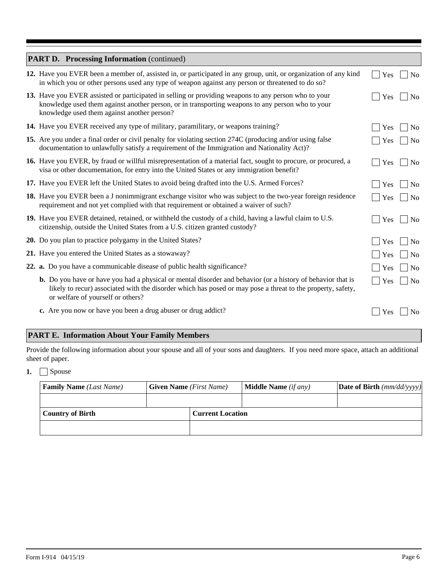| <b>PART D. Processing Information</b> (continued)                                                                                                                                                                                                                      |                         |
|------------------------------------------------------------------------------------------------------------------------------------------------------------------------------------------------------------------------------------------------------------------------|-------------------------|
|                                                                                                                                                                                                                                                                        |                         |
| 12. Have you EVER been a member of, assisted in, or participated in any group, unit, or organization of any kind<br>in which you or other persons used any type of weapon against any person or threatened to do so?                                                   | Yes<br>N <sub>0</sub>   |
| 13. Have you EVER assisted or participated in selling or providing weapons to any person who to your<br>knowledge used them against another person, or in transporting weapons to any person who to your<br>knowledge used them against another person?                | Yes<br>N <sub>0</sub>   |
| 14. Have you EVER received any type of military, paramilitary, or weapons training?                                                                                                                                                                                    | No<br>Yes               |
| 15. Are you under a final order or civil penalty for violating section 274C (producing and/or using false<br>documentation to unlawfully satisfy a requirement of the Immigration and Nationality Act)?                                                                | Yes<br>N <sub>0</sub>   |
| 16. Have you EVER, by fraud or willful misrepresentation of a material fact, sought to procure, or procured, a<br>visa or other documentation, for entry into the United States or any immigration benefit?                                                            | Yes<br>$\overline{N_0}$ |
| 17. Have you EVER left the United States to avoid being drafted into the U.S. Armed Forces?                                                                                                                                                                            | No<br>Yes               |
| 18. Have you EVER been a J nonimmigrant exchange visitor who was subject to the two-year foreign residence<br>requirement and not yet complied with that requirement or obtained a waiver of such?                                                                     | Yes<br>N <sub>0</sub>   |
| 19. Have you EVER detained, retained, or withheld the custody of a child, having a lawful claim to U.S.<br>citizenship, outside the United States from a U.S. citizen granted custody?                                                                                 | Yes<br>N <sub>0</sub>   |
| 20. Do you plan to practice polygamy in the United States?                                                                                                                                                                                                             | N <sub>o</sub><br>Yes   |
| 21. Have you entered the United States as a stowaway?                                                                                                                                                                                                                  | N <sub>o</sub><br>Yes   |
| 22. a. Do you have a communicable disease of public health significance?                                                                                                                                                                                               | N <sub>0</sub><br>Yes   |
| <b>b.</b> Do you have or have you had a physical or mental disorder and behavior (or a history of behavior that is<br>likely to recur) associated with the disorder which has posed or may pose a threat to the property, safety,<br>or welfare of yourself or others? | N <sub>0</sub><br>Yes   |
| c. Are you now or have you been a drug abuser or drug addict?                                                                                                                                                                                                          | Yes<br>N <sub>0</sub>   |

# **PART E. Information About Your Family Members**

Provide the following information about your spouse and all of your sons and daughters. If you need more space, attach an additional sheet of paper.

1. Spouse

| <b>Family Name</b> ( <i>Last Name</i> ) | <b>Given Name</b> <i>(First Name)</i> |                         |  |  | <b>Middle Name</b> ( <i>if any</i> ) | <b>Date of Birth</b> ( $mm/dd/yyyy$ ) |  |
|-----------------------------------------|---------------------------------------|-------------------------|--|--|--------------------------------------|---------------------------------------|--|
|                                         |                                       |                         |  |  |                                      |                                       |  |
| Country of Birth                        |                                       | <b>Current Location</b> |  |  |                                      |                                       |  |
|                                         |                                       |                         |  |  |                                      |                                       |  |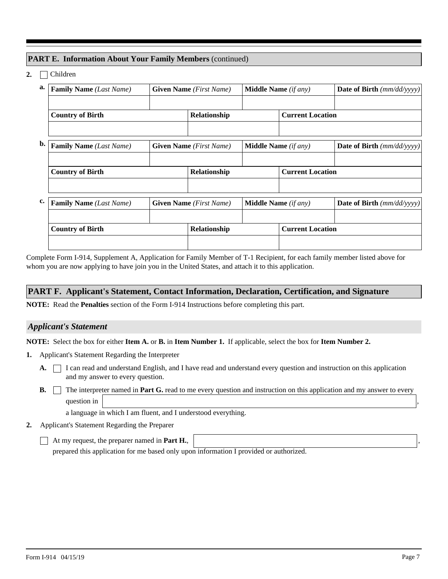#### **PART E. Information About Your Family Members (continued)**

#### **2.** Children

| a. | <b>Family Name</b> ( <i>Last Name</i> ) |  | <b>Given Name</b> ( <i>First Name</i> )<br><b>Middle Name</b> (if any) |                             |                         | Date of Birth (mm/dd/yyyy)            |  |
|----|-----------------------------------------|--|------------------------------------------------------------------------|-----------------------------|-------------------------|---------------------------------------|--|
|    | <b>Country of Birth</b>                 |  | Relationship                                                           |                             | <b>Current Location</b> |                                       |  |
| b. | Family Name (Last Name)                 |  | <b>Middle Name</b> (if any)<br><b>Given Name</b> ( <i>First Name</i> ) |                             |                         | Date of Birth (mm/dd/yyyy)            |  |
|    | <b>Country of Birth</b>                 |  | Relationship                                                           |                             | <b>Current Location</b> |                                       |  |
| c. | Family Name (Last Name)                 |  | <b>Given Name</b> ( <i>First Name</i> )                                | <b>Middle Name</b> (if any) |                         | <b>Date of Birth</b> ( $mm/dd/yyyy$ ) |  |
|    | <b>Country of Birth</b>                 |  | Relationship                                                           |                             | <b>Current Location</b> |                                       |  |

Complete Form I-914, Supplement A, Application for Family Member of T-1 Recipient, for each family member listed above for whom you are now applying to have join you in the United States, and attach it to this application.

## **PART F. Applicant's Statement, Contact Information, Declaration, Certification, and Signature**

**NOTE:** Read the **Penalties** section of the Form I-914 Instructions before completing this part.

#### *Applicant's Statement*

**NOTE:** Select the box for either **Item A.** or **B.** in **Item Number 1.** If applicable, select the box for **Item Number 2.**

- **1.** Applicant's Statement Regarding the Interpreter
	- A.  $\Box$  I can read and understand English, and I have read and understand every question and instruction on this application and my answer to every question.
	- The interpreter named in **Part G.** read to me every question and instruction on this application and my answer to every **B.** question in

a language in which I am fluent, and I understood everything.

**2.** Applicant's Statement Regarding the Preparer

At my request, the preparer named in **Part H.**,

prepared this application for me based only upon information I provided or authorized.

,

,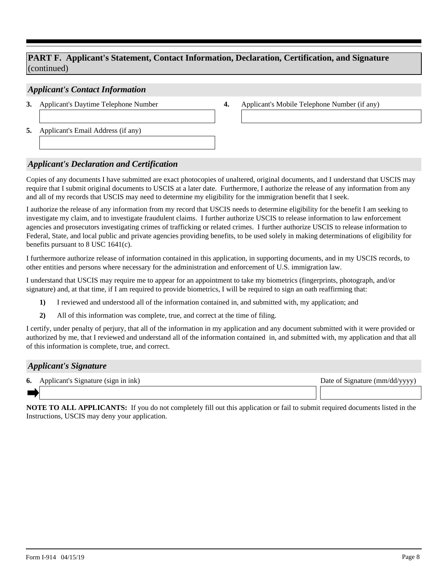## **PART F. Applicant's Statement, Contact Information, Declaration, Certification, and Signature**  (continued)

## *Applicant's Contact Information*

- 
- **3.** Applicant's Daytime Telephone Number **4.** Applicant's Mobile Telephone Number (if any)
- **5.** Applicant's Email Address (if any)

## *Applicant's Declaration and Certification*

Copies of any documents I have submitted are exact photocopies of unaltered, original documents, and I understand that USCIS may require that I submit original documents to USCIS at a later date. Furthermore, I authorize the release of any information from any and all of my records that USCIS may need to determine my eligibility for the immigration benefit that I seek.

I authorize the release of any information from my record that USCIS needs to determine eligibility for the benefit I am seeking to investigate my claim, and to investigate fraudulent claims. I further authorize USCIS to release information to law enforcement agencies and prosecutors investigating crimes of trafficking or related crimes. I further authorize USCIS to release information to Federal, State, and local public and private agencies providing benefits, to be used solely in making determinations of eligibility for benefits pursuant to 8 USC 1641(c).

I furthermore authorize release of information contained in this application, in supporting documents, and in my USCIS records, to other entities and persons where necessary for the administration and enforcement of U.S. immigration law.

I understand that USCIS may require me to appear for an appointment to take my biometrics (fingerprints, photograph, and/or signature) and, at that time, if I am required to provide biometrics, I will be required to sign an oath reaffirming that:

- **1)** I reviewed and understood all of the information contained in, and submitted with, my application; and
- **2)** All of this information was complete, true, and correct at the time of filing.

I certify, under penalty of perjury, that all of the information in my application and any document submitted with it were provided or authorized by me, that I reviewed and understand all of the information contained in, and submitted with, my application and that all of this information is complete, true, and correct.

#### *Applicant's Signature*

| 6. | Applicant's Signature (sign in ink) | Date of Signature (mm/dd/yyyy) |
|----|-------------------------------------|--------------------------------|
|    |                                     |                                |

**NOTE TO ALL APPLICANTS:** If you do not completely fill out this application or fail to submit required documents listed in the Instructions, USCIS may deny your application.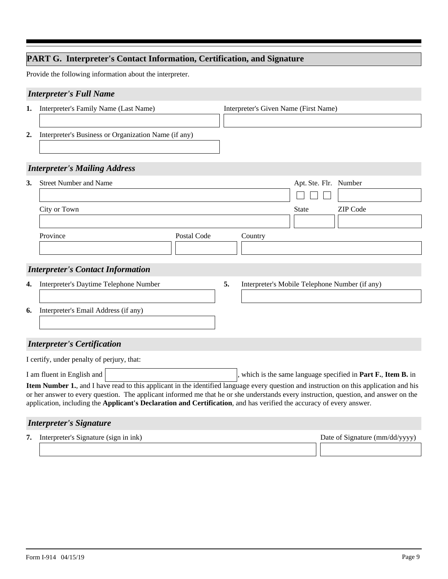# **PART G. Interpreter's Contact Information, Certification, and Signature**

Provide the following information about the interpreter.

# *Interpreter's Full Name*

| 1.                                                                                                                                      | Interpreter's Family Name (Last Name)                                                                                |    | Interpreter's Given Name (First Name)          |                       |                                                             |  |
|-----------------------------------------------------------------------------------------------------------------------------------------|----------------------------------------------------------------------------------------------------------------------|----|------------------------------------------------|-----------------------|-------------------------------------------------------------|--|
|                                                                                                                                         |                                                                                                                      |    |                                                |                       |                                                             |  |
| 2.                                                                                                                                      | Interpreter's Business or Organization Name (if any)                                                                 |    |                                                |                       |                                                             |  |
|                                                                                                                                         |                                                                                                                      |    |                                                |                       |                                                             |  |
|                                                                                                                                         | <b>Interpreter's Mailing Address</b>                                                                                 |    |                                                |                       |                                                             |  |
| 3.                                                                                                                                      | <b>Street Number and Name</b>                                                                                        |    |                                                | Apt. Ste. Flr. Number |                                                             |  |
|                                                                                                                                         |                                                                                                                      |    |                                                |                       |                                                             |  |
|                                                                                                                                         | City or Town                                                                                                         |    |                                                | <b>State</b>          | <b>ZIP</b> Code                                             |  |
|                                                                                                                                         |                                                                                                                      |    |                                                | $\blacktriangledown$  |                                                             |  |
|                                                                                                                                         | Postal Code<br>Province                                                                                              |    | Country                                        |                       |                                                             |  |
|                                                                                                                                         |                                                                                                                      |    |                                                |                       |                                                             |  |
|                                                                                                                                         | <b>Interpreter's Contact Information</b>                                                                             |    |                                                |                       |                                                             |  |
| 4.                                                                                                                                      | Interpreter's Daytime Telephone Number                                                                               | 5. | Interpreter's Mobile Telephone Number (if any) |                       |                                                             |  |
|                                                                                                                                         |                                                                                                                      |    |                                                |                       |                                                             |  |
| 6.                                                                                                                                      | Interpreter's Email Address (if any)                                                                                 |    |                                                |                       |                                                             |  |
|                                                                                                                                         |                                                                                                                      |    |                                                |                       |                                                             |  |
|                                                                                                                                         | <b>Interpreter's Certification</b>                                                                                   |    |                                                |                       |                                                             |  |
|                                                                                                                                         | I certify, under penalty of perjury, that:                                                                           |    |                                                |                       |                                                             |  |
| I am fluent in English and                                                                                                              |                                                                                                                      |    |                                                |                       | which is the same language specified in Part F., Item B. in |  |
| Item Number 1., and I have read to this applicant in the identified language every question and instruction on this application and his |                                                                                                                      |    |                                                |                       |                                                             |  |
| or her answer to every question. The applicant informed me that he or she understands every instruction, question, and answer on the    |                                                                                                                      |    |                                                |                       |                                                             |  |
|                                                                                                                                         | application, including the Applicant's Declaration and Certification, and has verified the accuracy of every answer. |    |                                                |                       |                                                             |  |

# *Interpreter's Signature*

| . . | Interpreter's Signature (sign in ink) | Date of Signature ( $mm/dd/vyyy$ ) |
|-----|---------------------------------------|------------------------------------|
|     |                                       |                                    |